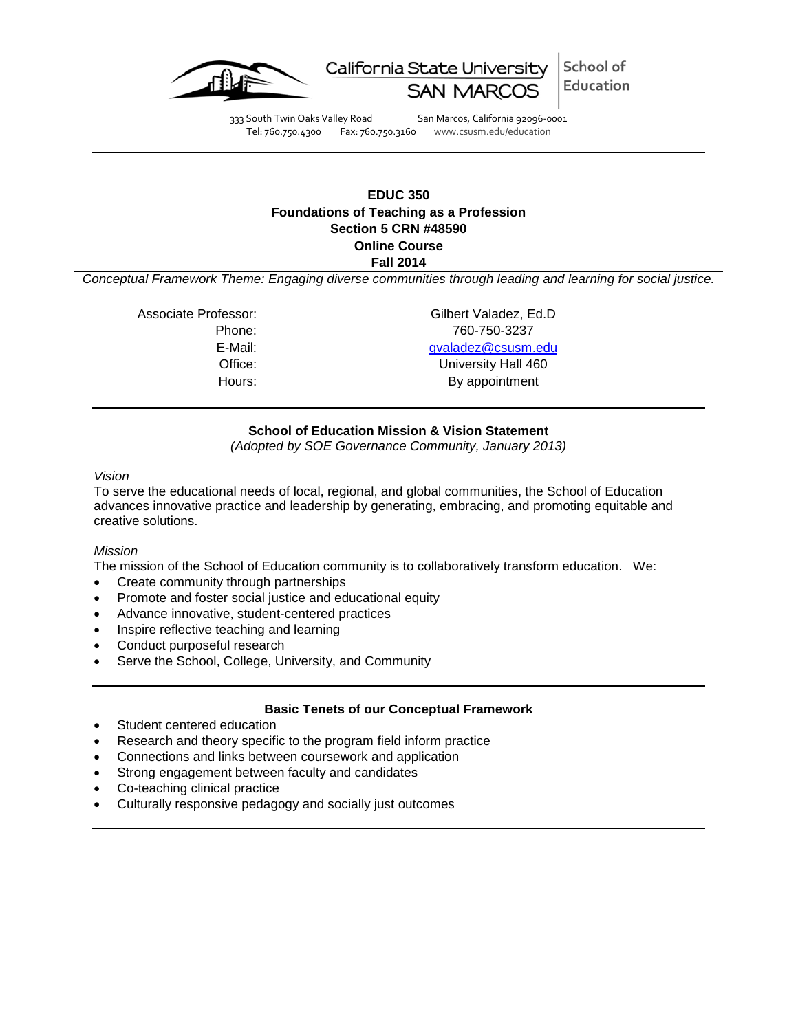

School of California State University Education

333 South Twin Oaks Valley Road San Marcos, California 92096-0001<br>Tel: 760.750.4300 Fax: 760.750.3160 www.csusm.edu/education

Fax: 760.750.3160 www.csusm.edu/education

# **EDUC 350 Foundations of Teaching as a Profession Section 5 CRN #48590 Online Course**

**Fall 2014**

*Conceptual Framework Theme: Engaging diverse communities through leading and learning for social justice.*

Associate Professor: Gilbert Valadez, Ed.D

Phone: 760-750-3237 E-Mail: [gvaladez@csusm.edu](mailto:gvaladez@csusm.edu) Office: University Hall 460 Hours: By appointment

# **School of Education Mission & Vision Statement**

*(Adopted by SOE Governance Community, January 2013)*

# *Vision*

To serve the educational needs of local, regional, and global communities, the School of Education advances innovative practice and leadership by generating, embracing, and promoting equitable and creative solutions.

# *Mission*

The mission of the School of Education community is to collaboratively transform education. We:

- Create community through partnerships
- Promote and foster social justice and educational equity
- Advance innovative, student-centered practices
- Inspire reflective teaching and learning
- Conduct purposeful research
- Serve the School, College, University, and Community

# **Basic Tenets of our Conceptual Framework**

- Student centered education
- Research and theory specific to the program field inform practice
- Connections and links between coursework and application
- Strong engagement between faculty and candidates
- Co-teaching clinical practice
- Culturally responsive pedagogy and socially just outcomes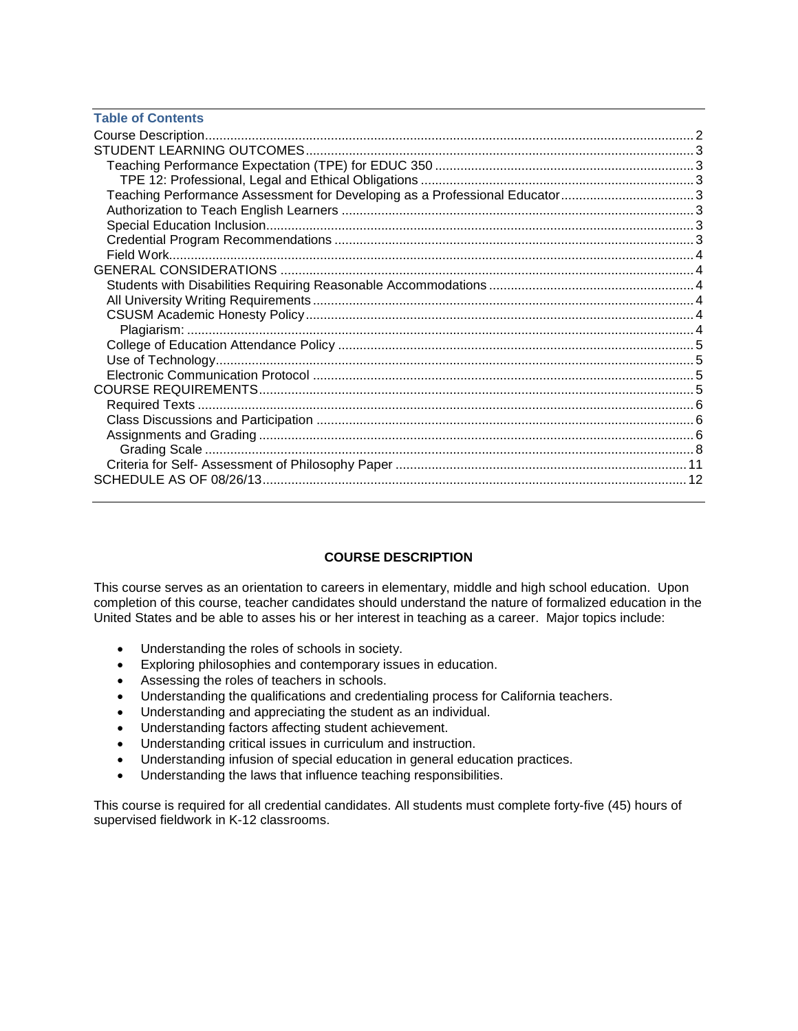| <b>Table of Contents</b>                                                   |  |
|----------------------------------------------------------------------------|--|
|                                                                            |  |
|                                                                            |  |
|                                                                            |  |
|                                                                            |  |
| Teaching Performance Assessment for Developing as a Professional Educator3 |  |
|                                                                            |  |
|                                                                            |  |
|                                                                            |  |
|                                                                            |  |
|                                                                            |  |
|                                                                            |  |
|                                                                            |  |
|                                                                            |  |
|                                                                            |  |
|                                                                            |  |
|                                                                            |  |
|                                                                            |  |
|                                                                            |  |
|                                                                            |  |
|                                                                            |  |
|                                                                            |  |
|                                                                            |  |
|                                                                            |  |
|                                                                            |  |

# **COURSE DESCRIPTION**

<span id="page-1-0"></span>This course serves as an orientation to careers in elementary, middle and high school education. Upon completion of this course, teacher candidates should understand the nature of formalized education in the United States and be able to asses his or her interest in teaching as a career. Major topics include:

- Understanding the roles of schools in society.
- Exploring philosophies and contemporary issues in education.
- Assessing the roles of teachers in schools.
- Understanding the qualifications and credentialing process for California teachers.
- Understanding and appreciating the student as an individual.
- Understanding factors affecting student achievement.
- Understanding critical issues in curriculum and instruction.
- Understanding infusion of special education in general education practices.
- Understanding the laws that influence teaching responsibilities.

<span id="page-1-1"></span>This course is required for all credential candidates. All students must complete forty-five (45) hours of supervised fieldwork in K-12 classrooms.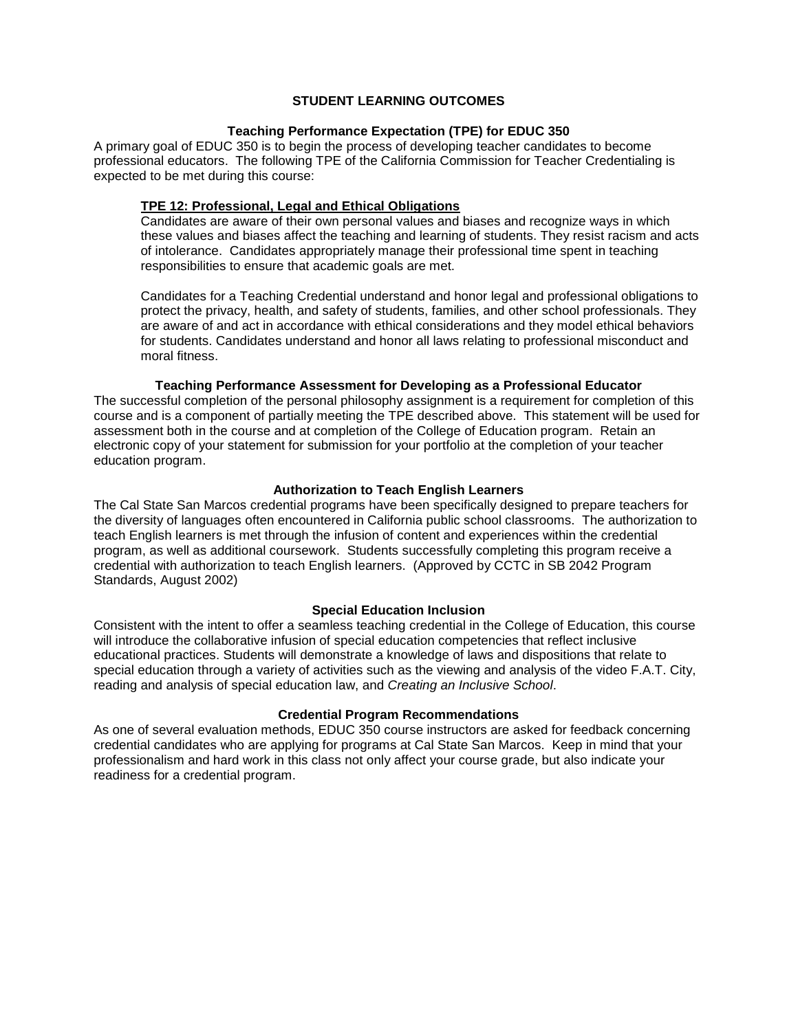# **STUDENT LEARNING OUTCOMES**

# **Teaching Performance Expectation (TPE) for EDUC 350**

<span id="page-2-0"></span>A primary goal of EDUC 350 is to begin the process of developing teacher candidates to become professional educators. The following TPE of the California Commission for Teacher Credentialing is expected to be met during this course:

# <span id="page-2-1"></span>**TPE 12: Professional, Legal and Ethical Obligations**

Candidates are aware of their own personal values and biases and recognize ways in which these values and biases affect the teaching and learning of students. They resist racism and acts of intolerance. Candidates appropriately manage their professional time spent in teaching responsibilities to ensure that academic goals are met.

Candidates for a Teaching Credential understand and honor legal and professional obligations to protect the privacy, health, and safety of students, families, and other school professionals. They are aware of and act in accordance with ethical considerations and they model ethical behaviors for students. Candidates understand and honor all laws relating to professional misconduct and moral fitness.

# **Teaching Performance Assessment for Developing as a Professional Educator**

<span id="page-2-2"></span>The successful completion of the personal philosophy assignment is a requirement for completion of this course and is a component of partially meeting the TPE described above. This statement will be used for assessment both in the course and at completion of the College of Education program. Retain an electronic copy of your statement for submission for your portfolio at the completion of your teacher education program.

## **Authorization to Teach English Learners**

<span id="page-2-3"></span>The Cal State San Marcos credential programs have been specifically designed to prepare teachers for the diversity of languages often encountered in California public school classrooms. The authorization to teach English learners is met through the infusion of content and experiences within the credential program, as well as additional coursework. Students successfully completing this program receive a credential with authorization to teach English learners. (Approved by CCTC in SB 2042 Program Standards, August 2002)

## **Special Education Inclusion**

<span id="page-2-4"></span>Consistent with the intent to offer a seamless teaching credential in the College of Education, this course will introduce the collaborative infusion of special education competencies that reflect inclusive educational practices. Students will demonstrate a knowledge of laws and dispositions that relate to special education through a variety of activities such as the viewing and analysis of the video F.A.T. City, reading and analysis of special education law, and *Creating an Inclusive School*.

## **Credential Program Recommendations**

<span id="page-2-6"></span><span id="page-2-5"></span>As one of several evaluation methods, EDUC 350 course instructors are asked for feedback concerning credential candidates who are applying for programs at Cal State San Marcos. Keep in mind that your professionalism and hard work in this class not only affect your course grade, but also indicate your readiness for a credential program.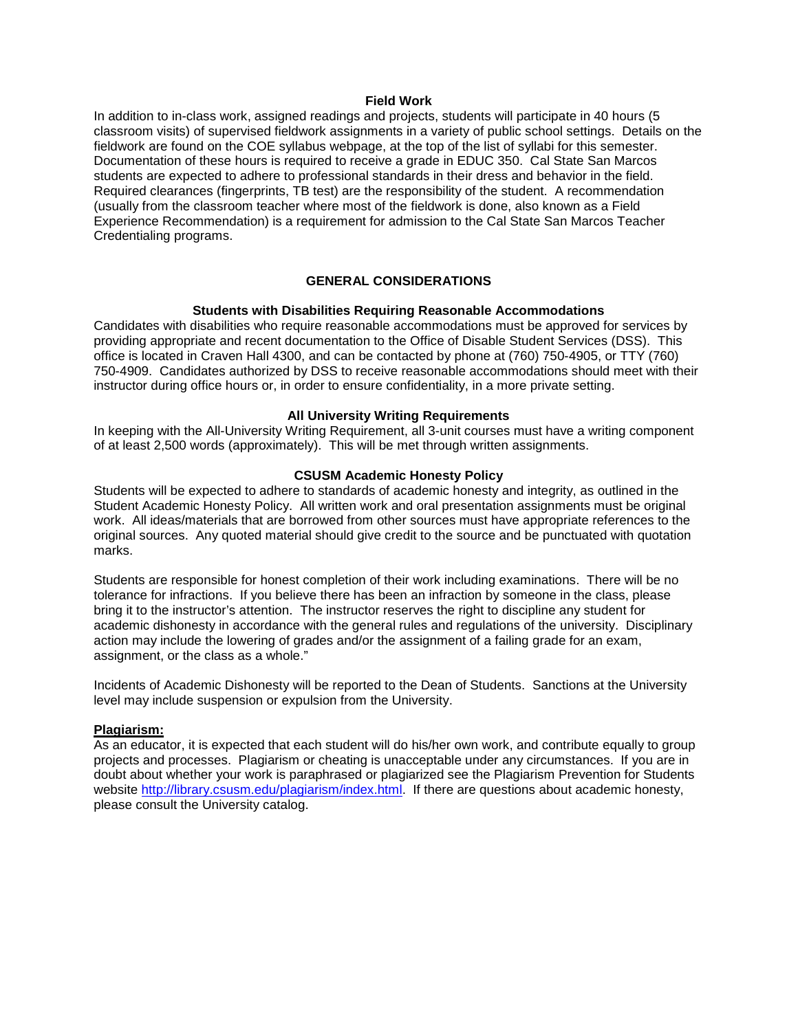#### **Field Work**

In addition to in-class work, assigned readings and projects, students will participate in 40 hours (5 classroom visits) of supervised fieldwork assignments in a variety of public school settings. Details on the fieldwork are found on the COE syllabus webpage, at the top of the list of syllabi for this semester. Documentation of these hours is required to receive a grade in EDUC 350. Cal State San Marcos students are expected to adhere to professional standards in their dress and behavior in the field. Required clearances (fingerprints, TB test) are the responsibility of the student. A recommendation (usually from the classroom teacher where most of the fieldwork is done, also known as a Field Experience Recommendation) is a requirement for admission to the Cal State San Marcos Teacher Credentialing programs.

# **GENERAL CONSIDERATIONS**

#### **Students with Disabilities Requiring Reasonable Accommodations**

<span id="page-3-1"></span><span id="page-3-0"></span>Candidates with disabilities who require reasonable accommodations must be approved for services by providing appropriate and recent documentation to the Office of Disable Student Services (DSS). This office is located in Craven Hall 4300, and can be contacted by phone at (760) 750-4905, or TTY (760) 750-4909. Candidates authorized by DSS to receive reasonable accommodations should meet with their instructor during office hours or, in order to ensure confidentiality, in a more private setting.

#### **All University Writing Requirements**

<span id="page-3-2"></span>In keeping with the All-University Writing Requirement, all 3-unit courses must have a writing component of at least 2,500 words (approximately). This will be met through written assignments.

#### **CSUSM Academic Honesty Policy**

<span id="page-3-3"></span>Students will be expected to adhere to standards of academic honesty and integrity, as outlined in the Student Academic Honesty Policy. All written work and oral presentation assignments must be original work. All ideas/materials that are borrowed from other sources must have appropriate references to the original sources. Any quoted material should give credit to the source and be punctuated with quotation marks.

Students are responsible for honest completion of their work including examinations. There will be no tolerance for infractions. If you believe there has been an infraction by someone in the class, please bring it to the instructor's attention. The instructor reserves the right to discipline any student for academic dishonesty in accordance with the general rules and regulations of the university. Disciplinary action may include the lowering of grades and/or the assignment of a failing grade for an exam, assignment, or the class as a whole."

Incidents of Academic Dishonesty will be reported to the Dean of Students. Sanctions at the University level may include suspension or expulsion from the University.

## <span id="page-3-4"></span>**Plagiarism:**

<span id="page-3-5"></span>As an educator, it is expected that each student will do his/her own work, and contribute equally to group projects and processes. Plagiarism or cheating is unacceptable under any circumstances. If you are in doubt about whether your work is paraphrased or plagiarized see the Plagiarism Prevention for Students website [http://library.csusm.edu/plagiarism/index.html.](http://library.csusm.edu/plagiarism/index.html) If there are questions about academic honesty, please consult the University catalog.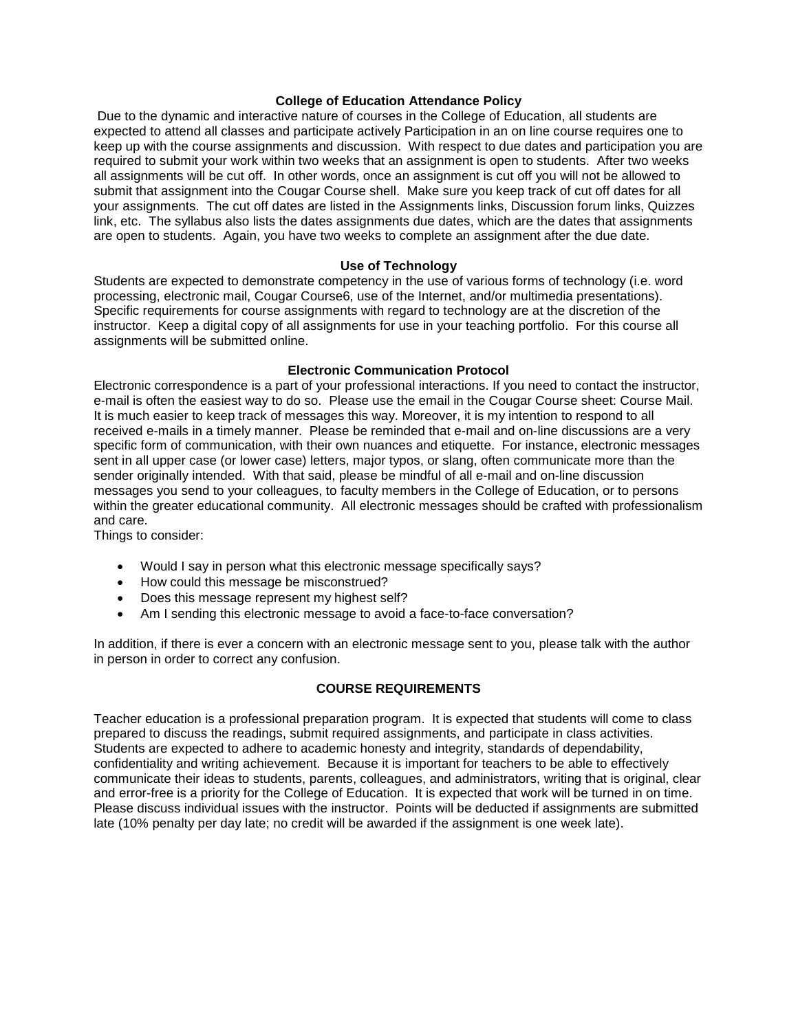## **College of Education Attendance Policy**

Due to the dynamic and interactive nature of courses in the College of Education, all students are expected to attend all classes and participate actively Participation in an on line course requires one to keep up with the course assignments and discussion. With respect to due dates and participation you are required to submit your work within two weeks that an assignment is open to students. After two weeks all assignments will be cut off. In other words, once an assignment is cut off you will not be allowed to submit that assignment into the Cougar Course shell. Make sure you keep track of cut off dates for all your assignments. The cut off dates are listed in the Assignments links, Discussion forum links, Quizzes link, etc. The syllabus also lists the dates assignments due dates, which are the dates that assignments are open to students. Again, you have two weeks to complete an assignment after the due date.

#### **Use of Technology**

<span id="page-4-0"></span>Students are expected to demonstrate competency in the use of various forms of technology (i.e. word processing, electronic mail, Cougar Course6, use of the Internet, and/or multimedia presentations). Specific requirements for course assignments with regard to technology are at the discretion of the instructor. Keep a digital copy of all assignments for use in your teaching portfolio. For this course all assignments will be submitted online.

#### **Electronic Communication Protocol**

<span id="page-4-1"></span>Electronic correspondence is a part of your professional interactions. If you need to contact the instructor, e-mail is often the easiest way to do so. Please use the email in the Cougar Course sheet: Course Mail. It is much easier to keep track of messages this way. Moreover, it is my intention to respond to all received e-mails in a timely manner. Please be reminded that e-mail and on-line discussions are a very specific form of communication, with their own nuances and etiquette. For instance, electronic messages sent in all upper case (or lower case) letters, major typos, or slang, often communicate more than the sender originally intended. With that said, please be mindful of all e-mail and on-line discussion messages you send to your colleagues, to faculty members in the College of Education, or to persons within the greater educational community. All electronic messages should be crafted with professionalism and care.

Things to consider:

- Would I say in person what this electronic message specifically says?
- How could this message be misconstrued?
- Does this message represent my highest self?
- Am I sending this electronic message to avoid a face-to-face conversation?

In addition, if there is ever a concern with an electronic message sent to you, please talk with the author in person in order to correct any confusion.

# **COURSE REQUIREMENTS**

<span id="page-4-3"></span><span id="page-4-2"></span>Teacher education is a professional preparation program. It is expected that students will come to class prepared to discuss the readings, submit required assignments, and participate in class activities. Students are expected to adhere to academic honesty and integrity, standards of dependability, confidentiality and writing achievement. Because it is important for teachers to be able to effectively communicate their ideas to students, parents, colleagues, and administrators, writing that is original, clear and error-free is a priority for the College of Education. It is expected that work will be turned in on time. Please discuss individual issues with the instructor. Points will be deducted if assignments are submitted late (10% penalty per day late; no credit will be awarded if the assignment is one week late).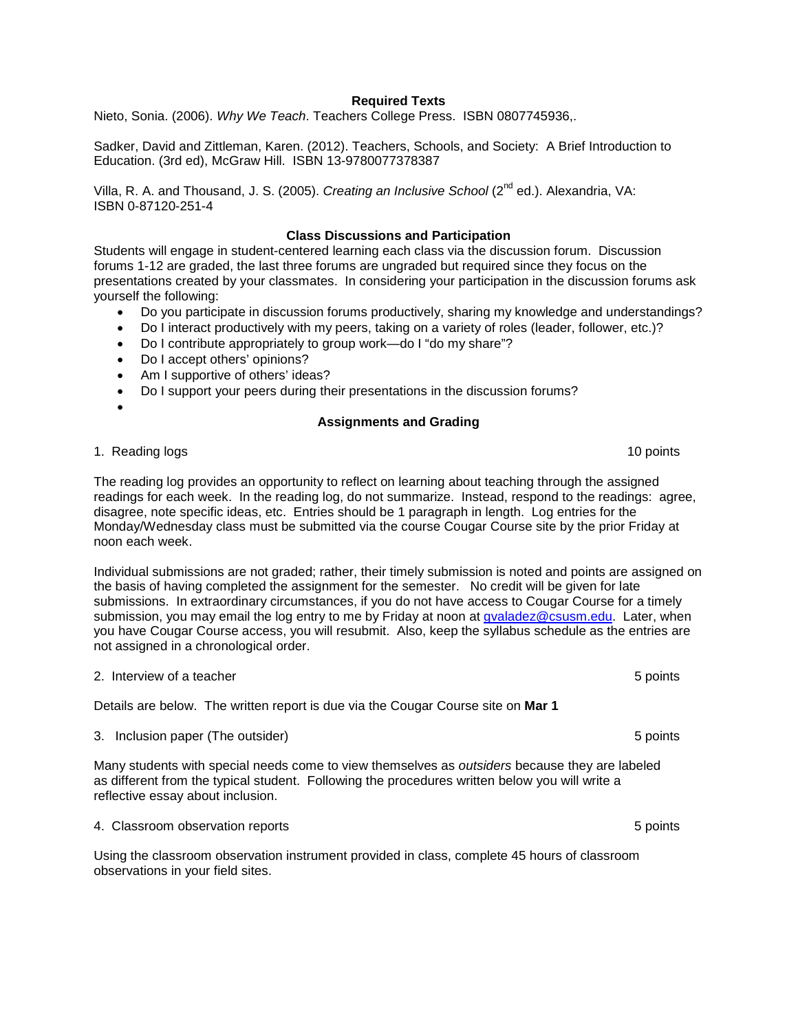### **Required Texts**

Nieto, Sonia. (2006). *Why We Teach*. Teachers College Press. ISBN 0807745936,.

Sadker, David and Zittleman, Karen. (2012). Teachers, Schools, and Society: A Brief Introduction to Education. (3rd ed), McGraw Hill. ISBN 13-9780077378387

Villa, R. A. and Thousand, J. S. (2005). *Creating an Inclusive School* (2<sup>nd</sup> ed.). Alexandria, VA: ISBN 0-87120-251-4

### **Class Discussions and Participation**

<span id="page-5-0"></span>Students will engage in student-centered learning each class via the discussion forum. Discussion forums 1-12 are graded, the last three forums are ungraded but required since they focus on the presentations created by your classmates. In considering your participation in the discussion forums ask yourself the following:

- Do you participate in discussion forums productively, sharing my knowledge and understandings?
- Do I interact productively with my peers, taking on a variety of roles (leader, follower, etc.)?
- Do I contribute appropriately to group work—do I "do my share"?
- Do I accept others' opinions?
- Am I supportive of others' ideas?
- Do I support your peers during their presentations in the discussion forums?
- <span id="page-5-1"></span>•

# **Assignments and Grading**

1. Reading logs 10 points 10 points 10 points 10 points 10 points 10 points 10 points 10 points 10 points 10 points 10 points 10 points 10 points 10 points 10 points 10 points 10 points 10 points 10 points 10 points 10 poi

The reading log provides an opportunity to reflect on learning about teaching through the assigned readings for each week. In the reading log, do not summarize. Instead, respond to the readings: agree, disagree, note specific ideas, etc. Entries should be 1 paragraph in length. Log entries for the Monday/Wednesday class must be submitted via the course Cougar Course site by the prior Friday at noon each week.

Individual submissions are not graded; rather, their timely submission is noted and points are assigned on the basis of having completed the assignment for the semester. No credit will be given for late submissions. In extraordinary circumstances, if you do not have access to Cougar Course for a timely submission, you may email the log entry to me by Friday at noon at [gvaladez@csusm.edu.](mailto:gvaladez@csusm.edu) Later, when you have Cougar Course access, you will resubmit. Also, keep the syllabus schedule as the entries are not assigned in a chronological order.

2. Interview of a teacher 5 points

Details are below. The written report is due via the Cougar Course site on **Mar 1**

3. Inclusion paper (The outsider) 6 points and the outsider of the outside of the outside of the outside of the outside of the outside of the outside of the outside of the outside of the outside of the outside of the outsi

Many students with special needs come to view themselves as *outsiders* because they are labeled as different from the typical student. Following the procedures written below you will write a reflective essay about inclusion.

4. Classroom observation reports 5 points

Using the classroom observation instrument provided in class, complete 45 hours of classroom observations in your field sites.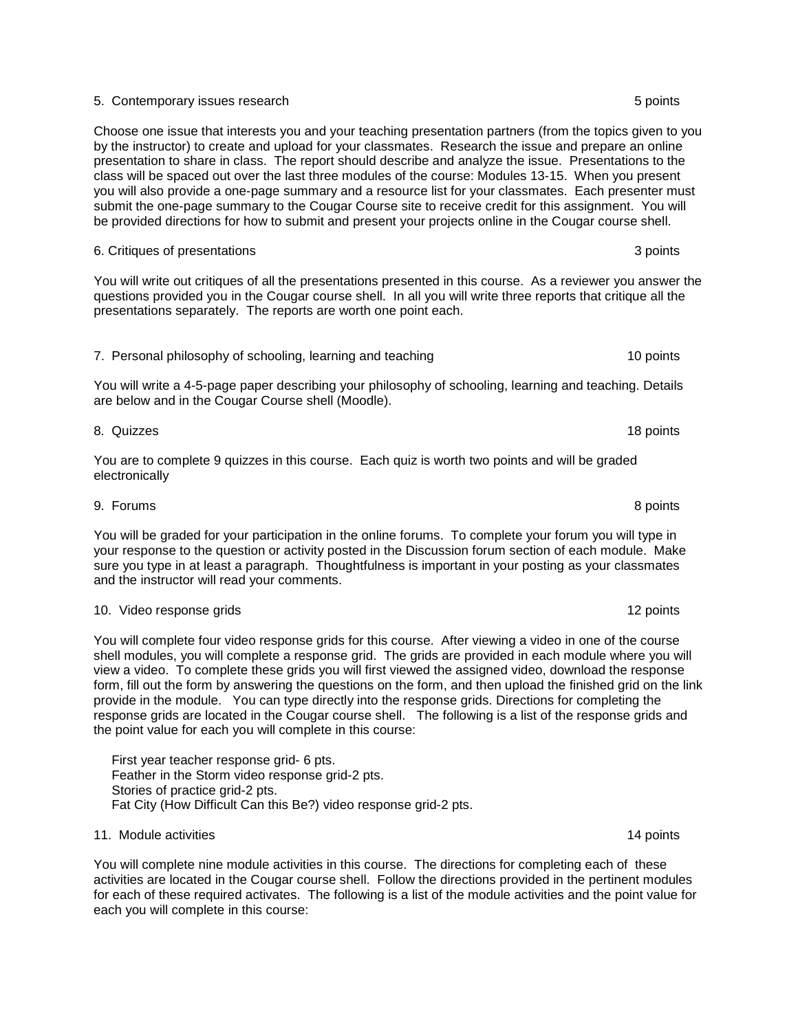#### 5. Contemporary issues research 5 points

Choose one issue that interests you and your teaching presentation partners (from the topics given to you by the instructor) to create and upload for your classmates. Research the issue and prepare an online presentation to share in class. The report should describe and analyze the issue. Presentations to the class will be spaced out over the last three modules of the course: Modules 13-15. When you present you will also provide a one-page summary and a resource list for your classmates. Each presenter must submit the one-page summary to the Cougar Course site to receive credit for this assignment. You will be provided directions for how to submit and present your projects online in the Cougar course shell.

You will write out critiques of all the presentations presented in this course. As a reviewer you answer the questions provided you in the Cougar course shell. In all you will write three reports that critique all the presentations separately. The reports are worth one point each.

6. Critiques of presentations 3 points 3 points 3 points 3 points 3 points 3 points 3 points 3 points 3 points 3 points 3 points 3 points 3 points 3 points 3 points 3 points 3 points 3 points 3 points 3 points 3 points 3 p

# 7. Personal philosophy of schooling, learning and teaching 10 points 10 points

You will write a 4-5-page paper describing your philosophy of schooling, learning and teaching. Details are below and in the Cougar Course shell (Moodle).

You are to complete 9 quizzes in this course. Each quiz is worth two points and will be graded electronically

You will be graded for your participation in the online forums. To complete your forum you will type in your response to the question or activity posted in the Discussion forum section of each module. Make sure you type in at least a paragraph. Thoughtfulness is important in your posting as your classmates and the instructor will read your comments.

#### 10. Video response grids 12 points 12 points 12 points 12 points 12 points 12 points 12 points 12 points 12 points 12 points 12 points 12 points 12 points 12 points 12 points 12 points 12 points 12 points 12 points 12 poin

You will complete four video response grids for this course. After viewing a video in one of the course shell modules, you will complete a response grid. The grids are provided in each module where you will view a video. To complete these grids you will first viewed the assigned video, download the response form, fill out the form by answering the questions on the form, and then upload the finished grid on the link provide in the module. You can type directly into the response grids. Directions for completing the response grids are located in the Cougar course shell. The following is a list of the response grids and the point value for each you will complete in this course:

 First year teacher response grid- 6 pts. Feather in the Storm video response grid-2 pts. Stories of practice grid-2 pts. Fat City (How Difficult Can this Be?) video response grid-2 pts.

#### 11. Module activities **14 points** 14 points 14 points 14 points 14 points 14 points 14 points 14 points 14 points

You will complete nine module activities in this course. The directions for completing each of these activities are located in the Cougar course shell. Follow the directions provided in the pertinent modules for each of these required activates. The following is a list of the module activities and the point value for each you will complete in this course:

8. Quizzes 18 points

9. Forums 8 points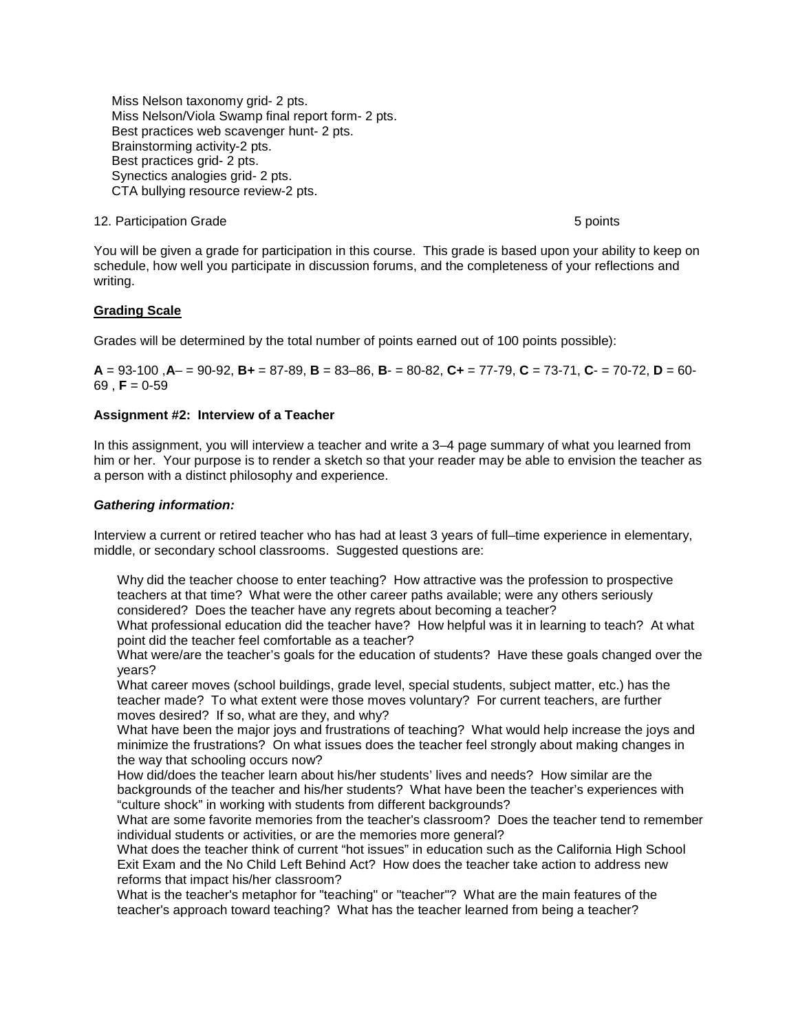Miss Nelson taxonomy grid- 2 pts. Miss Nelson/Viola Swamp final report form- 2 pts. Best practices web scavenger hunt- 2 pts. Brainstorming activity-2 pts. Best practices grid- 2 pts. Synectics analogies grid- 2 pts. CTA bullying resource review-2 pts.

## 12. Participation Grade 5 points in the set of the set of the set of the set of the set of the set of the set o

You will be given a grade for participation in this course. This grade is based upon your ability to keep on schedule, how well you participate in discussion forums, and the completeness of your reflections and writing.

# <span id="page-7-0"></span>**Grading Scale**

Grades will be determined by the total number of points earned out of 100 points possible):

**A** = 93-100 ,**A**– = 90-92, **B+** = 87-89, **B** = 83–86, **B**- = 80-82, **C+** = 77-79, **C** = 73-71, **C**- = 70-72, **D** = 60-  $69$ , **F** = 0-59

## **Assignment #2: Interview of a Teacher**

In this assignment, you will interview a teacher and write a 3–4 page summary of what you learned from him or her. Your purpose is to render a sketch so that your reader may be able to envision the teacher as a person with a distinct philosophy and experience.

#### *Gathering information:*

Interview a current or retired teacher who has had at least 3 years of full–time experience in elementary, middle, or secondary school classrooms. Suggested questions are:

Why did the teacher choose to enter teaching? How attractive was the profession to prospective teachers at that time? What were the other career paths available; were any others seriously considered? Does the teacher have any regrets about becoming a teacher?

What professional education did the teacher have? How helpful was it in learning to teach? At what point did the teacher feel comfortable as a teacher?

What were/are the teacher's goals for the education of students? Have these goals changed over the years?

What career moves (school buildings, grade level, special students, subject matter, etc.) has the teacher made? To what extent were those moves voluntary? For current teachers, are further moves desired? If so, what are they, and why?

What have been the major joys and frustrations of teaching? What would help increase the joys and minimize the frustrations? On what issues does the teacher feel strongly about making changes in the way that schooling occurs now?

How did/does the teacher learn about his/her students' lives and needs? How similar are the backgrounds of the teacher and his/her students? What have been the teacher's experiences with "culture shock" in working with students from different backgrounds?

What are some favorite memories from the teacher's classroom? Does the teacher tend to remember individual students or activities, or are the memories more general?

What does the teacher think of current "hot issues" in education such as the California High School Exit Exam and the No Child Left Behind Act? How does the teacher take action to address new reforms that impact his/her classroom?

What is the teacher's metaphor for "teaching" or "teacher"? What are the main features of the teacher's approach toward teaching? What has the teacher learned from being a teacher?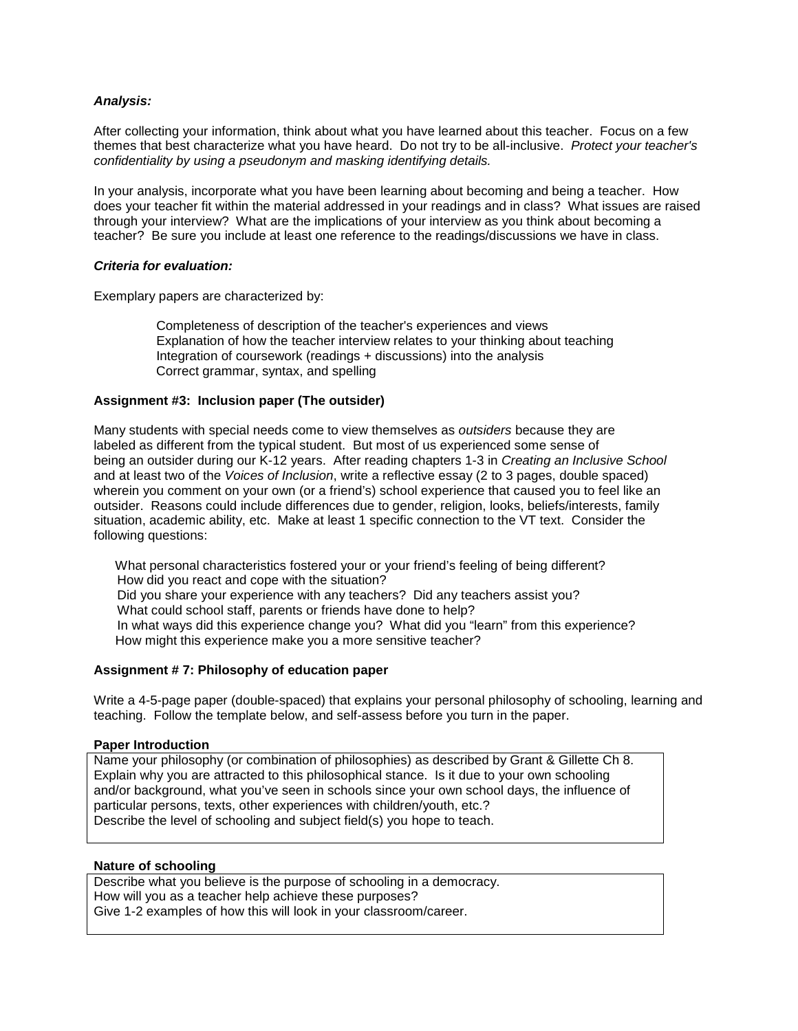# *Analysis:*

After collecting your information, think about what you have learned about this teacher. Focus on a few themes that best characterize what you have heard. Do not try to be all-inclusive. *Protect your teacher's confidentiality by using a pseudonym and masking identifying details.*

In your analysis, incorporate what you have been learning about becoming and being a teacher. How does your teacher fit within the material addressed in your readings and in class? What issues are raised through your interview? What are the implications of your interview as you think about becoming a teacher? Be sure you include at least one reference to the readings/discussions we have in class.

## *Criteria for evaluation:*

Exemplary papers are characterized by:

Completeness of description of the teacher's experiences and views Explanation of how the teacher interview relates to your thinking about teaching Integration of coursework (readings + discussions) into the analysis Correct grammar, syntax, and spelling

# **Assignment #3: Inclusion paper (The outsider)**

Many students with special needs come to view themselves as *outsiders* because they are labeled as different from the typical student. But most of us experienced some sense of being an outsider during our K-12 years. After reading chapters 1-3 in *Creating an Inclusive School* and at least two of the *Voices of Inclusion*, write a reflective essay (2 to 3 pages, double spaced) wherein you comment on your own (or a friend's) school experience that caused you to feel like an outsider. Reasons could include differences due to gender, religion, looks, beliefs/interests, family situation, academic ability, etc. Make at least 1 specific connection to the VT text. Consider the following questions:

What personal characteristics fostered your or your friend's feeling of being different? How did you react and cope with the situation? Did you share your experience with any teachers? Did any teachers assist you? What could school staff, parents or friends have done to help? In what ways did this experience change you? What did you "learn" from this experience? How might this experience make you a more sensitive teacher?

## **Assignment # 7: Philosophy of education paper**

Write a 4-5-page paper (double-spaced) that explains your personal philosophy of schooling, learning and teaching. Follow the template below, and self-assess before you turn in the paper.

## **Paper Introduction**

Name your philosophy (or combination of philosophies) as described by Grant & Gillette Ch 8. Explain why you are attracted to this philosophical stance. Is it due to your own schooling and/or background, what you've seen in schools since your own school days, the influence of particular persons, texts, other experiences with children/youth, etc.? Describe the level of schooling and subject field(s) you hope to teach.

# **Nature of schooling**

Describe what you believe is the purpose of schooling in a democracy. How will you as a teacher help achieve these purposes? Give 1-2 examples of how this will look in your classroom/career.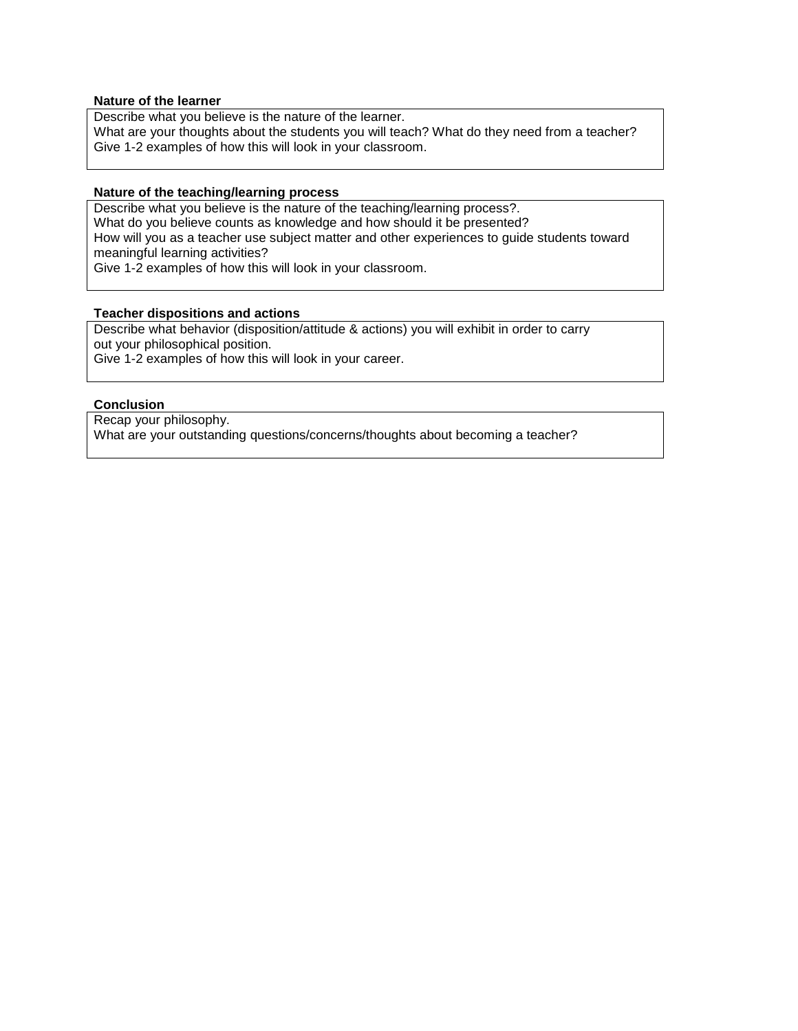## **Nature of the learner**

Describe what you believe is the nature of the learner.

What are your thoughts about the students you will teach? What do they need from a teacher? Give 1-2 examples of how this will look in your classroom.

#### **Nature of the teaching/learning process**

Describe what you believe is the nature of the teaching/learning process?. What do you believe counts as knowledge and how should it be presented? How will you as a teacher use subject matter and other experiences to guide students toward meaningful learning activities? Give 1-2 examples of how this will look in your classroom.

### **Teacher dispositions and actions**

Describe what behavior (disposition/attitude & actions) you will exhibit in order to carry out your philosophical position. Give 1-2 examples of how this will look in your career.

## **Conclusion**

Recap your philosophy. What are your outstanding questions/concerns/thoughts about becoming a teacher?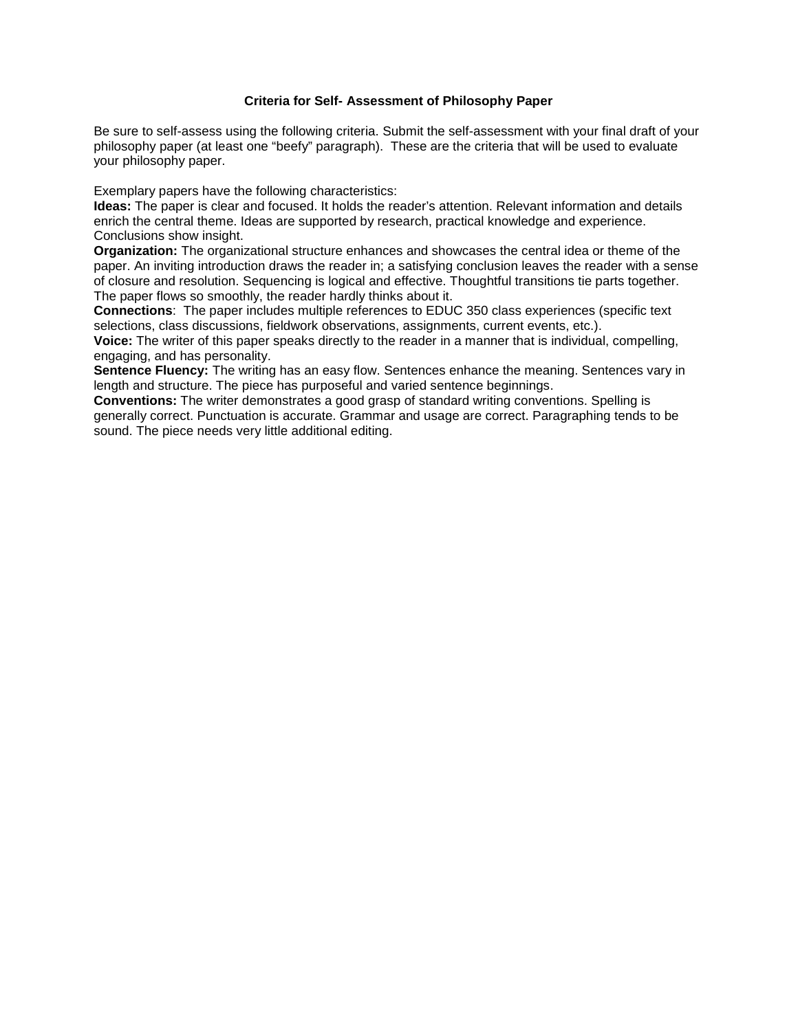# **Criteria for Self- Assessment of Philosophy Paper**

<span id="page-10-0"></span>Be sure to self-assess using the following criteria. Submit the self-assessment with your final draft of your philosophy paper (at least one "beefy" paragraph). These are the criteria that will be used to evaluate your philosophy paper.

Exemplary papers have the following characteristics:

**Ideas:** The paper is clear and focused. It holds the reader's attention. Relevant information and details enrich the central theme. Ideas are supported by research, practical knowledge and experience. Conclusions show insight.

**Organization:** The organizational structure enhances and showcases the central idea or theme of the paper. An inviting introduction draws the reader in; a satisfying conclusion leaves the reader with a sense of closure and resolution. Sequencing is logical and effective. Thoughtful transitions tie parts together. The paper flows so smoothly, the reader hardly thinks about it.

**Connections**: The paper includes multiple references to EDUC 350 class experiences (specific text selections, class discussions, fieldwork observations, assignments, current events, etc.).

**Voice:** The writer of this paper speaks directly to the reader in a manner that is individual, compelling, engaging, and has personality.

**Sentence Fluency:** The writing has an easy flow. Sentences enhance the meaning. Sentences vary in length and structure. The piece has purposeful and varied sentence beginnings.

**Conventions:** The writer demonstrates a good grasp of standard writing conventions. Spelling is generally correct. Punctuation is accurate. Grammar and usage are correct. Paragraphing tends to be sound. The piece needs very little additional editing.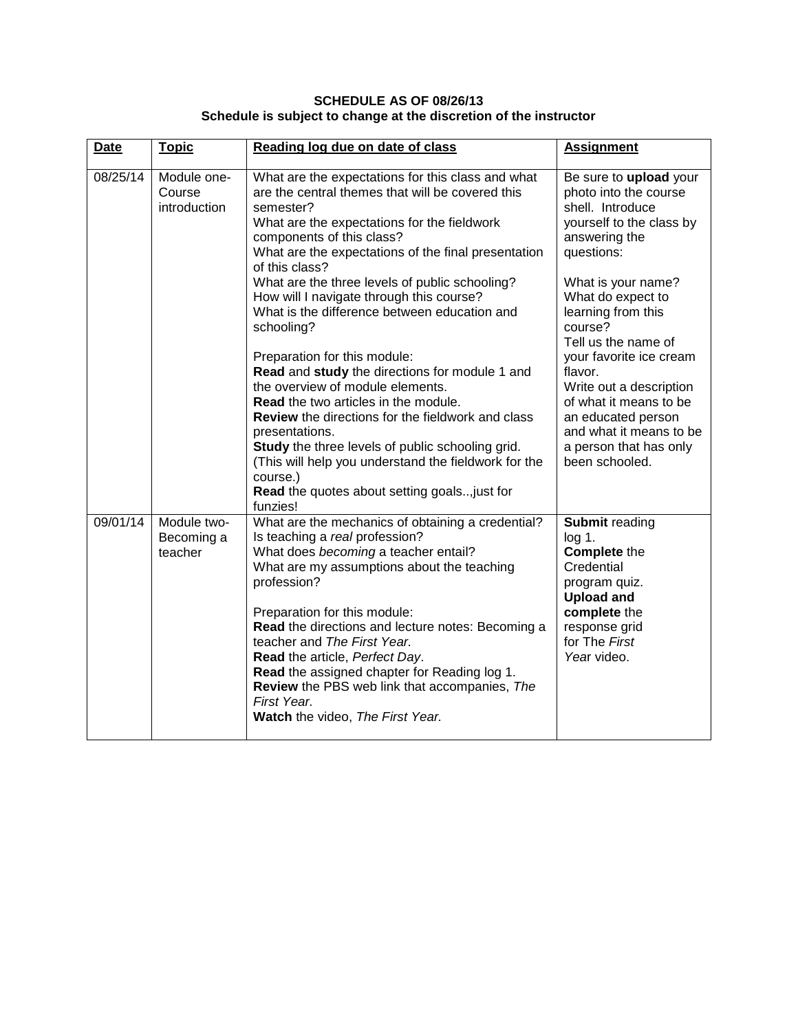# **SCHEDULE AS OF 08/26/13 Schedule is subject to change at the discretion of the instructor**

<span id="page-11-0"></span>

| <b>Date</b> | <b>Topic</b>                          | Reading log due on date of class                                                                                                                                                                                                                                                                                                                                                                                                                                                                   | <b>Assignment</b>                                                                                                                                                                    |
|-------------|---------------------------------------|----------------------------------------------------------------------------------------------------------------------------------------------------------------------------------------------------------------------------------------------------------------------------------------------------------------------------------------------------------------------------------------------------------------------------------------------------------------------------------------------------|--------------------------------------------------------------------------------------------------------------------------------------------------------------------------------------|
| 08/25/14    | Module one-<br>Course<br>introduction | What are the expectations for this class and what<br>are the central themes that will be covered this<br>semester?<br>What are the expectations for the fieldwork<br>components of this class?<br>What are the expectations of the final presentation<br>of this class?                                                                                                                                                                                                                            | Be sure to upload your<br>photo into the course<br>shell. Introduce<br>yourself to the class by<br>answering the<br>questions:                                                       |
|             |                                       | What are the three levels of public schooling?<br>How will I navigate through this course?<br>What is the difference between education and<br>schooling?                                                                                                                                                                                                                                                                                                                                           | What is your name?<br>What do expect to<br>learning from this<br>course?<br>Tell us the name of                                                                                      |
|             |                                       | Preparation for this module:<br>Read and study the directions for module 1 and<br>the overview of module elements.<br><b>Read</b> the two articles in the module.<br><b>Review</b> the directions for the fieldwork and class<br>presentations.<br>Study the three levels of public schooling grid.<br>(This will help you understand the fieldwork for the<br>course.)<br><b>Read</b> the quotes about setting goals just for<br>funzies!                                                         | your favorite ice cream<br>flavor.<br>Write out a description<br>of what it means to be<br>an educated person<br>and what it means to be<br>a person that has only<br>been schooled. |
| 09/01/14    | Module two-<br>Becoming a<br>teacher  | What are the mechanics of obtaining a credential?<br>Is teaching a real profession?<br>What does becoming a teacher entail?<br>What are my assumptions about the teaching<br>profession?<br>Preparation for this module:<br>Read the directions and lecture notes: Becoming a<br>teacher and The First Year.<br>Read the article, Perfect Day.<br>Read the assigned chapter for Reading log 1.<br>Review the PBS web link that accompanies, The<br>First Year.<br>Watch the video, The First Year. | <b>Submit reading</b><br>$log 1$ .<br><b>Complete the</b><br>Credential<br>program quiz.<br><b>Upload and</b><br>complete the<br>response grid<br>for The First<br>Year video.       |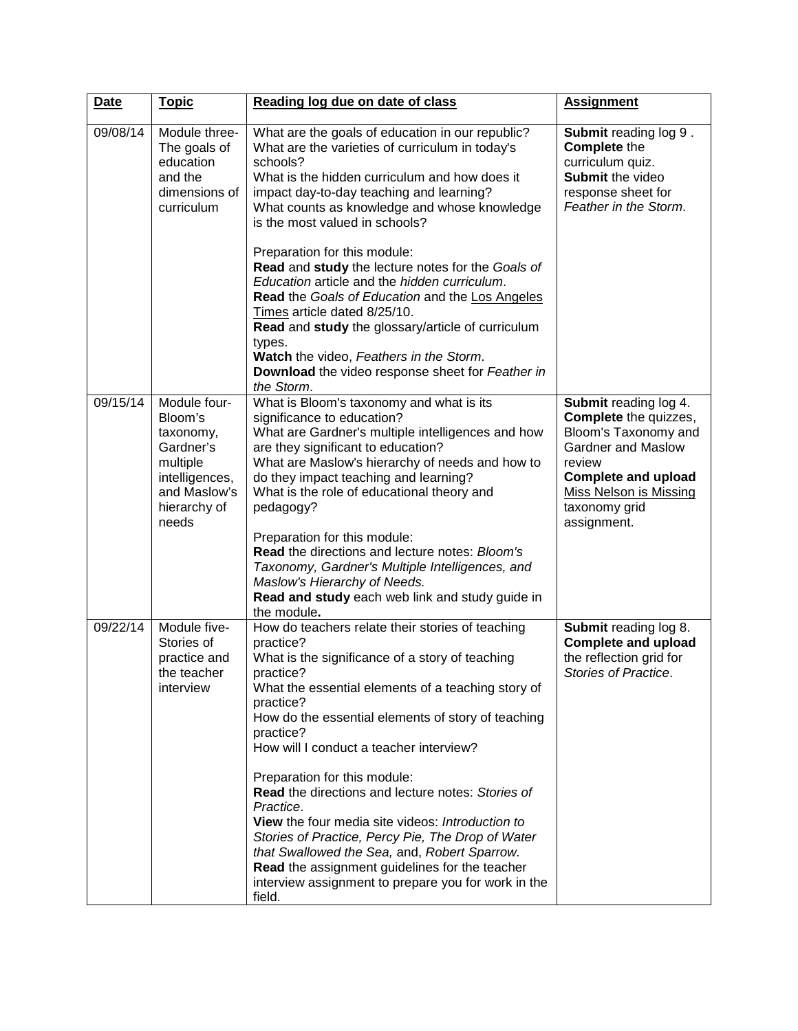| <b>Date</b> | <b>Topic</b>                                                                                                             | Reading log due on date of class                                                                                                                                                                                                                                                                                                                                                                                                                                                                                                                                                                                                                                                             | <b>Assignment</b>                                                                                                                                                                                     |
|-------------|--------------------------------------------------------------------------------------------------------------------------|----------------------------------------------------------------------------------------------------------------------------------------------------------------------------------------------------------------------------------------------------------------------------------------------------------------------------------------------------------------------------------------------------------------------------------------------------------------------------------------------------------------------------------------------------------------------------------------------------------------------------------------------------------------------------------------------|-------------------------------------------------------------------------------------------------------------------------------------------------------------------------------------------------------|
| 09/08/14    | Module three-<br>The goals of<br>education<br>and the<br>dimensions of<br>curriculum                                     | What are the goals of education in our republic?<br>What are the varieties of curriculum in today's<br>schools?<br>What is the hidden curriculum and how does it<br>impact day-to-day teaching and learning?<br>What counts as knowledge and whose knowledge<br>is the most valued in schools?<br>Preparation for this module:<br>Read and study the lecture notes for the Goals of<br>Education article and the hidden curriculum.<br>Read the Goals of Education and the Los Angeles<br>Times article dated 8/25/10.<br>Read and study the glossary/article of curriculum<br>types.<br>Watch the video, Feathers in the Storm.<br>Download the video response sheet for Feather in         | <b>Submit reading log 9.</b><br><b>Complete the</b><br>curriculum quiz.<br>Submit the video<br>response sheet for<br>Feather in the Storm.                                                            |
| 09/15/14    | Module four-<br>Bloom's<br>taxonomy,<br>Gardner's<br>multiple<br>intelligences,<br>and Maslow's<br>hierarchy of<br>needs | the Storm.<br>What is Bloom's taxonomy and what is its<br>significance to education?<br>What are Gardner's multiple intelligences and how<br>are they significant to education?<br>What are Maslow's hierarchy of needs and how to<br>do they impact teaching and learning?<br>What is the role of educational theory and<br>pedagogy?<br>Preparation for this module:<br>Read the directions and lecture notes: Bloom's<br>Taxonomy, Gardner's Multiple Intelligences, and<br>Maslow's Hierarchy of Needs.<br>Read and study each web link and study guide in<br>the module.                                                                                                                | Submit reading log 4.<br>Complete the quizzes,<br>Bloom's Taxonomy and<br><b>Gardner and Maslow</b><br>review<br><b>Complete and upload</b><br>Miss Nelson is Missing<br>taxonomy grid<br>assignment. |
| 09/22/14    | Module five-<br>Stories of<br>practice and<br>the teacher<br>interview                                                   | How do teachers relate their stories of teaching<br>practice?<br>What is the significance of a story of teaching<br>practice?<br>What the essential elements of a teaching story of<br>practice?<br>How do the essential elements of story of teaching<br>practice?<br>How will I conduct a teacher interview?<br>Preparation for this module:<br>Read the directions and lecture notes: Stories of<br>Practice.<br>View the four media site videos: Introduction to<br>Stories of Practice, Percy Pie, The Drop of Water<br>that Swallowed the Sea, and, Robert Sparrow.<br>Read the assignment guidelines for the teacher<br>interview assignment to prepare you for work in the<br>field. | <b>Submit reading log 8.</b><br><b>Complete and upload</b><br>the reflection grid for<br>Stories of Practice.                                                                                         |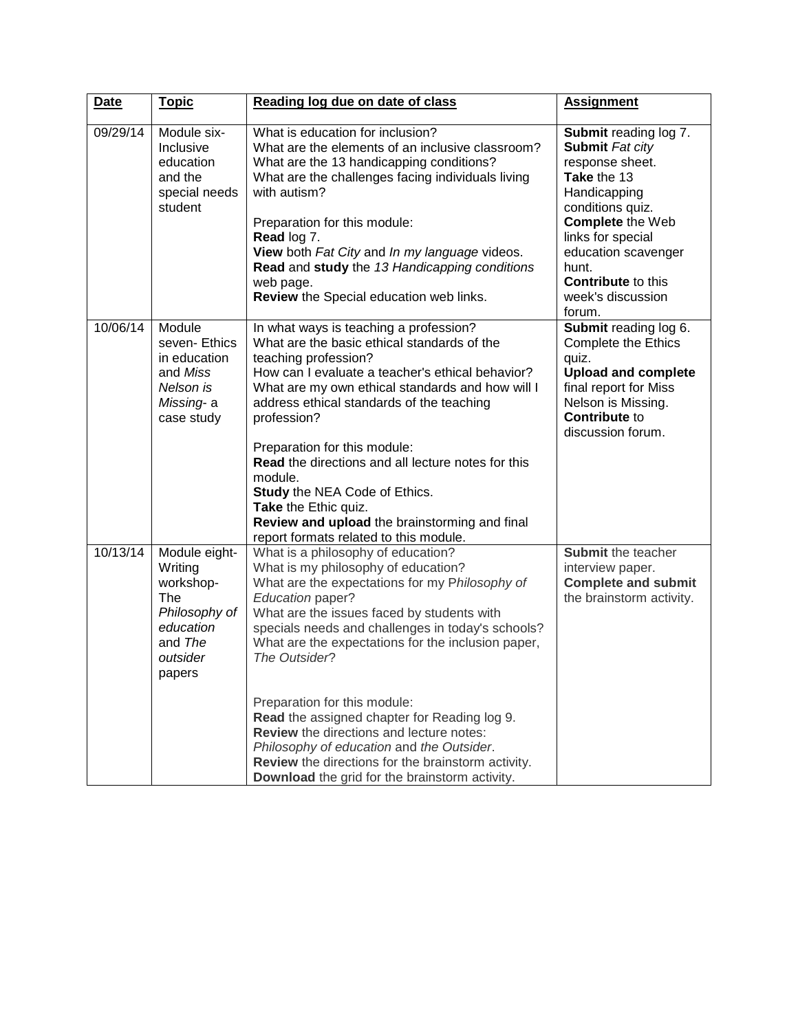| <b>Date</b> | <b>Topic</b>                                                                                                       | Reading log due on date of class                                                                                                                                                                                                                                                                                                                                                                                                                                                                                                                                                                                  | <b>Assignment</b>                                                                                                                                                                                                                                          |
|-------------|--------------------------------------------------------------------------------------------------------------------|-------------------------------------------------------------------------------------------------------------------------------------------------------------------------------------------------------------------------------------------------------------------------------------------------------------------------------------------------------------------------------------------------------------------------------------------------------------------------------------------------------------------------------------------------------------------------------------------------------------------|------------------------------------------------------------------------------------------------------------------------------------------------------------------------------------------------------------------------------------------------------------|
| 09/29/14    | Module six-<br>Inclusive<br>education<br>and the<br>special needs<br>student                                       | What is education for inclusion?<br>What are the elements of an inclusive classroom?<br>What are the 13 handicapping conditions?<br>What are the challenges facing individuals living<br>with autism?<br>Preparation for this module:<br>Read log 7.<br>View both Fat City and In my language videos.<br>Read and study the 13 Handicapping conditions<br>web page.<br>Review the Special education web links.                                                                                                                                                                                                    | <b>Submit reading log 7.</b><br>Submit Fat city<br>response sheet.<br>Take the 13<br>Handicapping<br>conditions quiz.<br>Complete the Web<br>links for special<br>education scavenger<br>hunt.<br><b>Contribute to this</b><br>week's discussion<br>forum. |
| 10/06/14    | Module<br>seven-Ethics<br>in education<br>and Miss<br>Nelson is<br>Missing- a<br>case study                        | In what ways is teaching a profession?<br>What are the basic ethical standards of the<br>teaching profession?<br>How can I evaluate a teacher's ethical behavior?<br>What are my own ethical standards and how will I<br>address ethical standards of the teaching<br>profession?<br>Preparation for this module:<br><b>Read</b> the directions and all lecture notes for this<br>module.<br>Study the NEA Code of Ethics.<br>Take the Ethic quiz.<br>Review and upload the brainstorming and final<br>report formats related to this module.                                                                     | Submit reading log 6.<br><b>Complete the Ethics</b><br>quiz.<br><b>Upload and complete</b><br>final report for Miss<br>Nelson is Missing.<br><b>Contribute to</b><br>discussion forum.                                                                     |
| 10/13/14    | Module eight-<br>Writing<br>workshop-<br><b>The</b><br>Philosophy of<br>education<br>and The<br>outsider<br>papers | What is a philosophy of education?<br>What is my philosophy of education?<br>What are the expectations for my Philosophy of<br>Education paper?<br>What are the issues faced by students with<br>specials needs and challenges in today's schools?<br>What are the expectations for the inclusion paper,<br>The Outsider?<br>Preparation for this module:<br>Read the assigned chapter for Reading log 9.<br><b>Review</b> the directions and lecture notes:<br>Philosophy of education and the Outsider.<br>Review the directions for the brainstorm activity.<br>Download the grid for the brainstorm activity. | Submit the teacher<br>interview paper.<br><b>Complete and submit</b><br>the brainstorm activity.                                                                                                                                                           |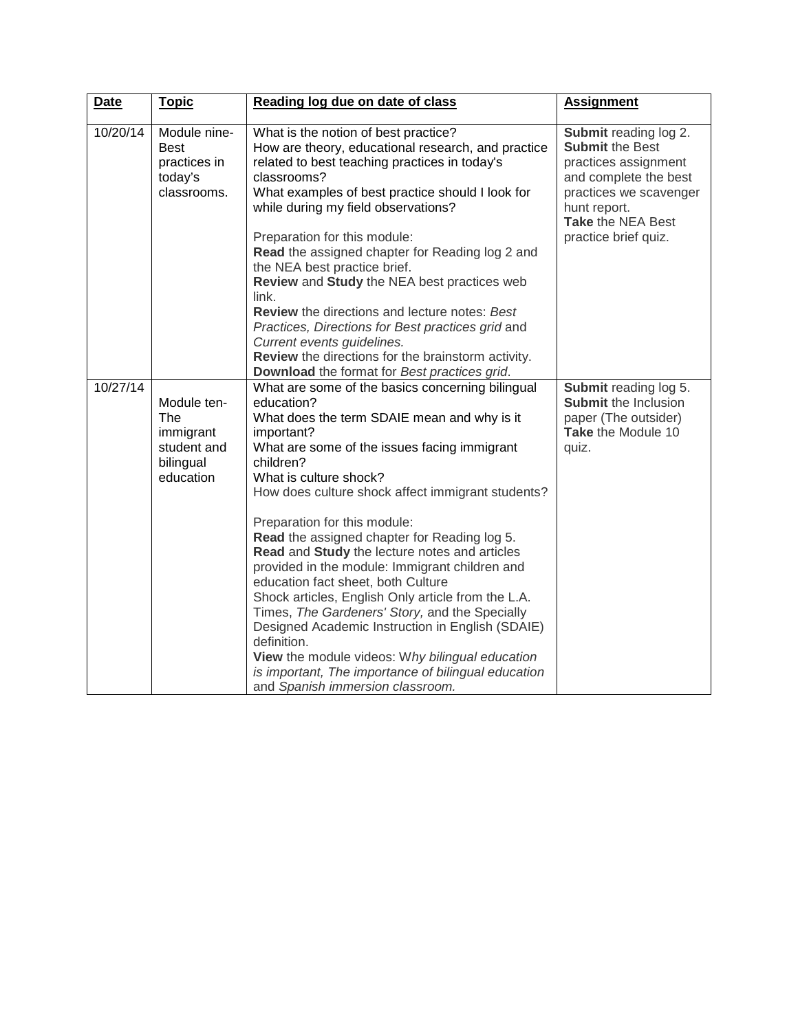| <b>Date</b> | <b>Topic</b>                                                             | Reading log due on date of class                                                                                                                                                                                                                                                                                                                                                                                                                                                                                                                                                                                                                                                                                                                                                                                          | <b>Assignment</b>                                                                                                                                                                              |
|-------------|--------------------------------------------------------------------------|---------------------------------------------------------------------------------------------------------------------------------------------------------------------------------------------------------------------------------------------------------------------------------------------------------------------------------------------------------------------------------------------------------------------------------------------------------------------------------------------------------------------------------------------------------------------------------------------------------------------------------------------------------------------------------------------------------------------------------------------------------------------------------------------------------------------------|------------------------------------------------------------------------------------------------------------------------------------------------------------------------------------------------|
| 10/20/14    | Module nine-<br><b>Best</b><br>practices in<br>today's<br>classrooms.    | What is the notion of best practice?<br>How are theory, educational research, and practice<br>related to best teaching practices in today's<br>classrooms?<br>What examples of best practice should I look for<br>while during my field observations?<br>Preparation for this module:                                                                                                                                                                                                                                                                                                                                                                                                                                                                                                                                     | <b>Submit reading log 2.</b><br><b>Submit the Best</b><br>practices assignment<br>and complete the best<br>practices we scavenger<br>hunt report.<br>Take the NEA Best<br>practice brief quiz. |
|             |                                                                          | Read the assigned chapter for Reading log 2 and<br>the NEA best practice brief.<br>Review and Study the NEA best practices web<br>$link_1$<br><b>Review</b> the directions and lecture notes: Best<br>Practices, Directions for Best practices grid and<br>Current events guidelines.<br>Review the directions for the brainstorm activity.<br>Download the format for Best practices grid.                                                                                                                                                                                                                                                                                                                                                                                                                               |                                                                                                                                                                                                |
| 10/27/14    | Module ten-<br>The<br>immigrant<br>student and<br>bilingual<br>education | What are some of the basics concerning bilingual<br>education?<br>What does the term SDAIE mean and why is it<br>important?<br>What are some of the issues facing immigrant<br>children?<br>What is culture shock?<br>How does culture shock affect immigrant students?<br>Preparation for this module:<br>Read the assigned chapter for Reading log 5.<br>Read and Study the lecture notes and articles<br>provided in the module: Immigrant children and<br>education fact sheet, both Culture<br>Shock articles, English Only article from the L.A.<br>Times, The Gardeners' Story, and the Specially<br>Designed Academic Instruction in English (SDAIE)<br>definition.<br>View the module videos: Why bilingual education<br>is important, The importance of bilingual education<br>and Spanish immersion classroom. | Submit reading log 5.<br><b>Submit the Inclusion</b><br>paper (The outsider)<br>Take the Module 10<br>quiz.                                                                                    |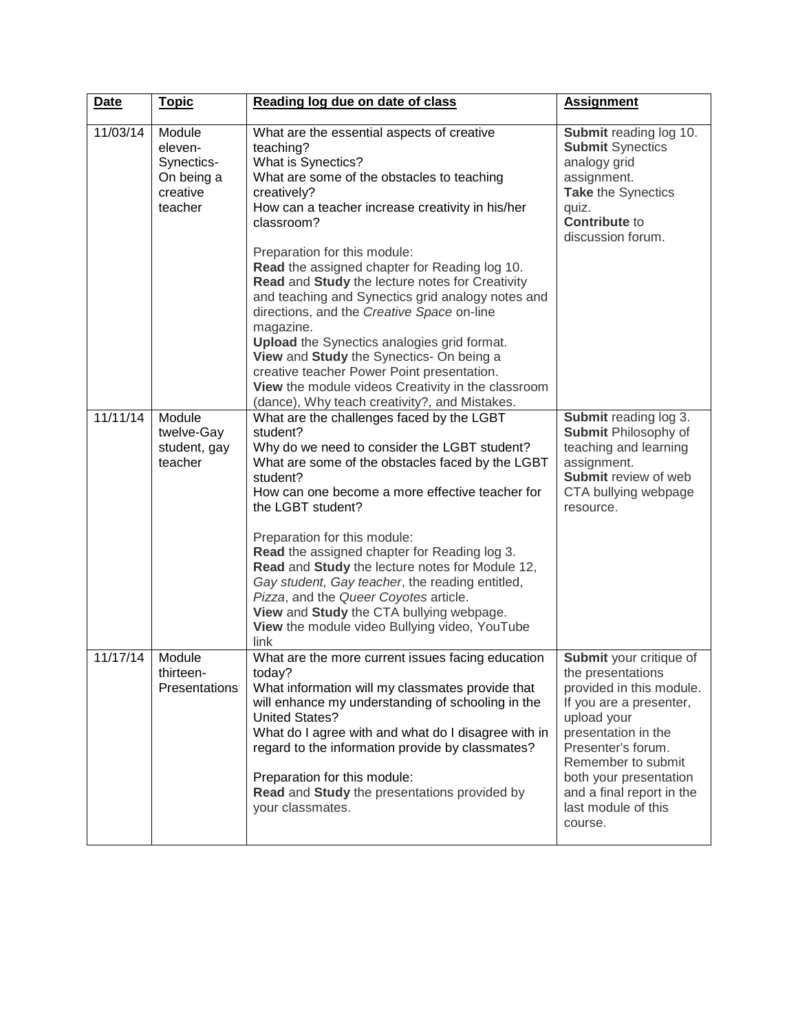| <b>Date</b> | <b>Topic</b>                                                         | Reading log due on date of class                                                                                                                                                                                                                                                                                                                                                                                                                                                                                                                                                                                                   | <b>Assignment</b>                                                                                                                                                                                                                                                              |
|-------------|----------------------------------------------------------------------|------------------------------------------------------------------------------------------------------------------------------------------------------------------------------------------------------------------------------------------------------------------------------------------------------------------------------------------------------------------------------------------------------------------------------------------------------------------------------------------------------------------------------------------------------------------------------------------------------------------------------------|--------------------------------------------------------------------------------------------------------------------------------------------------------------------------------------------------------------------------------------------------------------------------------|
| 11/03/14    | Module<br>eleven-<br>Synectics-<br>On being a<br>creative<br>teacher | What are the essential aspects of creative<br>teaching?<br>What is Synectics?<br>What are some of the obstacles to teaching<br>creatively?<br>How can a teacher increase creativity in his/her<br>classroom?<br>Preparation for this module:                                                                                                                                                                                                                                                                                                                                                                                       | Submit reading log 10.<br><b>Submit Synectics</b><br>analogy grid<br>assignment.<br>Take the Synectics<br>quiz.<br><b>Contribute to</b><br>discussion forum.                                                                                                                   |
|             |                                                                      | Read the assigned chapter for Reading log 10.<br>Read and Study the lecture notes for Creativity<br>and teaching and Synectics grid analogy notes and<br>directions, and the Creative Space on-line<br>magazine.<br><b>Upload</b> the Synectics analogies grid format.<br>View and Study the Synectics- On being a<br>creative teacher Power Point presentation.<br>View the module videos Creativity in the classroom                                                                                                                                                                                                             |                                                                                                                                                                                                                                                                                |
| 11/11/14    | Module<br>twelve-Gay<br>student, gay<br>teacher                      | (dance), Why teach creativity?, and Mistakes.<br>What are the challenges faced by the LGBT<br>student?<br>Why do we need to consider the LGBT student?<br>What are some of the obstacles faced by the LGBT<br>student?<br>How can one become a more effective teacher for<br>the LGBT student?<br>Preparation for this module:<br>Read the assigned chapter for Reading log 3.<br>Read and Study the lecture notes for Module 12,<br>Gay student, Gay teacher, the reading entitled,<br>Pizza, and the Queer Coyotes article.<br>View and Study the CTA bullying webpage.<br>View the module video Bullying video, YouTube<br>link | Submit reading log 3.<br><b>Submit Philosophy of</b><br>teaching and learning<br>assignment.<br>Submit review of web<br>CTA bullying webpage<br>resource.                                                                                                                      |
| 11/17/14    | Module<br>thirteen-<br>Presentations                                 | What are the more current issues facing education<br>today?<br>What information will my classmates provide that<br>will enhance my understanding of schooling in the<br><b>United States?</b><br>What do I agree with and what do I disagree with in<br>regard to the information provide by classmates?<br>Preparation for this module:<br>Read and Study the presentations provided by<br>your classmates.                                                                                                                                                                                                                       | Submit your critique of<br>the presentations<br>provided in this module.<br>If you are a presenter,<br>upload your<br>presentation in the<br>Presenter's forum.<br>Remember to submit<br>both your presentation<br>and a final report in the<br>last module of this<br>course. |